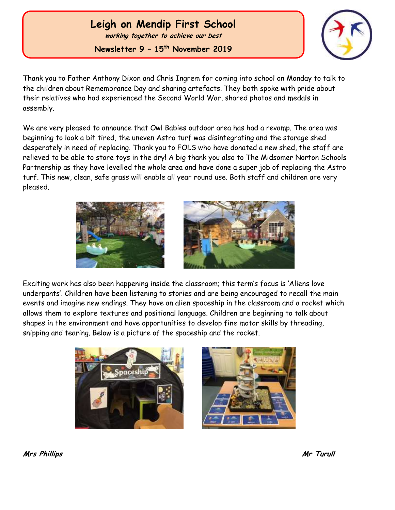## **Leigh on Mendip First School**

**working together to achieve our best**

**Newsletter 9 – 15 th November 2019**



Thank you to Father Anthony Dixon and Chris Ingrem for coming into school on Monday to talk to the children about Remembrance Day and sharing artefacts. They both spoke with pride about their relatives who had experienced the Second World War, shared photos and medals in assembly.

We are very pleased to announce that Owl Babies outdoor area has had a revamp. The area was beginning to look a bit tired, the uneven Astro turf was disintegrating and the storage shed desperately in need of replacing. Thank you to FOLS who have donated a new shed, the staff are relieved to be able to store toys in the dry! A big thank you also to The Midsomer Norton Schools Partnership as they have levelled the whole area and have done a super job of replacing the Astro turf. This new, clean, safe grass will enable all year round use. Both staff and children are very pleased.





Exciting work has also been happening inside the classroom; this term's focus is 'Aliens love underpants'. Children have been listening to stories and are being encouraged to recall the main events and imagine new endings. They have an alien spaceship in the classroom and a rocket which allows them to explore textures and positional language. Children are beginning to talk about shapes in the environment and have opportunities to develop fine motor skills by threading, snipping and tearing. Below is a picture of the spaceship and the rocket.





**Mrs Phillips Mr Turull**

 Ĭ